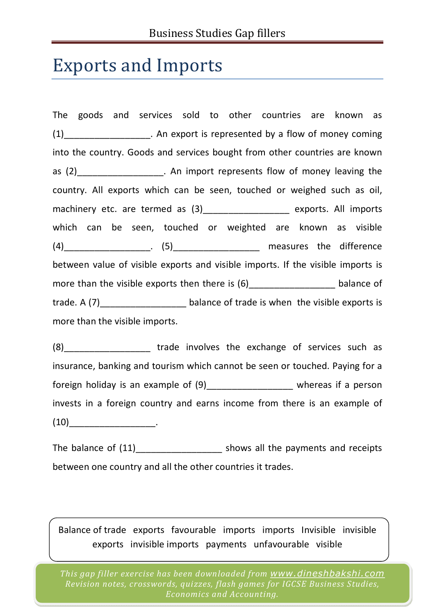## Exports and Imports

The goods and services sold to other countries are known as (1) An export is represented by a flow of money coming into the country. Goods and services bought from other countries are known as (2)\_\_\_\_\_\_\_\_\_\_\_\_\_\_\_\_\_\_\_. An import represents flow of money leaving the country. All exports which can be seen, touched or weighed such as oil, machinery etc. are termed as (3) exports. All imports which can be seen, touched or weighted are known as visible  $(4)$  \_\_\_\_\_\_\_\_\_\_\_\_\_\_\_\_\_\_\_\_.  $(5)$  \_\_\_\_\_\_\_\_\_\_\_\_\_\_\_\_\_\_\_\_\_\_ measures the difference between value of visible exports and visible imports. If the visible imports is more than the visible exports then there is  $(6)$  \_\_\_\_\_\_\_\_\_\_\_\_\_\_\_\_\_\_\_\_\_\_\_ balance of trade. A (7) Letter the balance of trade is when the visible exports is more than the visible imports.

(8) The trade involves the exchange of services such as insurance, banking and tourism which cannot be seen or touched. Paying for a foreign holiday is an example of  $(9)$ \_\_\_\_\_\_\_\_\_\_\_\_\_\_\_\_\_\_\_\_ whereas if a person invests in a foreign country and earns income from there is an example of  $(10)$  .

The balance of (11) The balance of (11) Shows all the payments and receipts between one country and all the other countries it trades.

Balance of trade exports favourable imports imports Invisible invisible exports invisible imports payments unfavourable visible

*This gap filler exercise has been downloaded from www.dineshbakshi.com Revision notes, crosswords, quizzes, flash games for IGCSE Business Studies, Economics and Accounting.*